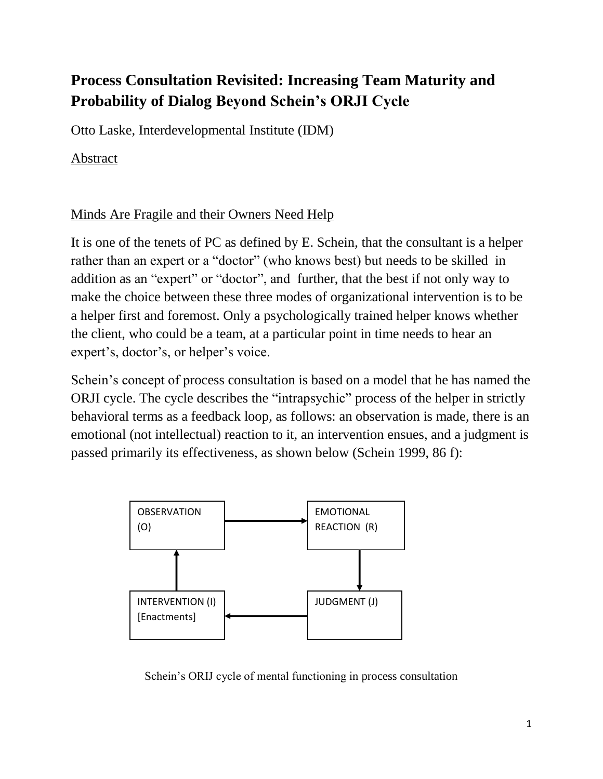# **Process Consultation Revisited: Increasing Team Maturity and Probability of Dialog Beyond Schein's ORJI Cycle**

Otto Laske, Interdevelopmental Institute (IDM)

Abstract

### Minds Are Fragile and their Owners Need Help

It is one of the tenets of PC as defined by E. Schein, that the consultant is a helper rather than an expert or a "doctor" (who knows best) but needs to be skilled in addition as an "expert" or "doctor", and further, that the best if not only way to make the choice between these three modes of organizational intervention is to be a helper first and foremost. Only a psychologically trained helper knows whether the client, who could be a team, at a particular point in time needs to hear an expert's, doctor's, or helper's voice.

Schein's concept of process consultation is based on a model that he has named the ORJI cycle. The cycle describes the "intrapsychic" process of the helper in strictly behavioral terms as a feedback loop, as follows: an observation is made, there is an emotional (not intellectual) reaction to it, an intervention ensues, and a judgment is passed primarily its effectiveness, as shown below (Schein 1999, 86 f):



Schein's ORIJ cycle of mental functioning in process consultation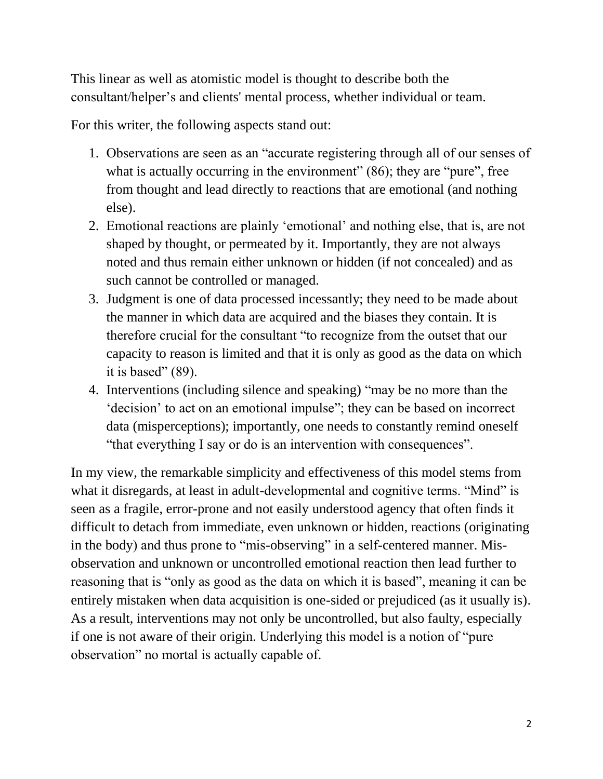This linear as well as atomistic model is thought to describe both the consultant/helper's and clients' mental process, whether individual or team.

For this writer, the following aspects stand out:

- 1. Observations are seen as an "accurate registering through all of our senses of what is actually occurring in the environment" (86); they are "pure", free from thought and lead directly to reactions that are emotional (and nothing else).
- 2. Emotional reactions are plainly 'emotional' and nothing else, that is, are not shaped by thought, or permeated by it. Importantly, they are not always noted and thus remain either unknown or hidden (if not concealed) and as such cannot be controlled or managed.
- 3. Judgment is one of data processed incessantly; they need to be made about the manner in which data are acquired and the biases they contain. It is therefore crucial for the consultant "to recognize from the outset that our capacity to reason is limited and that it is only as good as the data on which it is based"  $(89)$ .
- 4. Interventions (including silence and speaking) "may be no more than the 'decision' to act on an emotional impulse"; they can be based on incorrect data (misperceptions); importantly, one needs to constantly remind oneself "that everything I say or do is an intervention with consequences".

In my view, the remarkable simplicity and effectiveness of this model stems from what it disregards, at least in adult-developmental and cognitive terms. "Mind" is seen as a fragile, error-prone and not easily understood agency that often finds it difficult to detach from immediate, even unknown or hidden, reactions (originating in the body) and thus prone to "mis-observing" in a self-centered manner. Misobservation and unknown or uncontrolled emotional reaction then lead further to reasoning that is "only as good as the data on which it is based", meaning it can be entirely mistaken when data acquisition is one-sided or prejudiced (as it usually is). As a result, interventions may not only be uncontrolled, but also faulty, especially if one is not aware of their origin. Underlying this model is a notion of "pure observation" no mortal is actually capable of.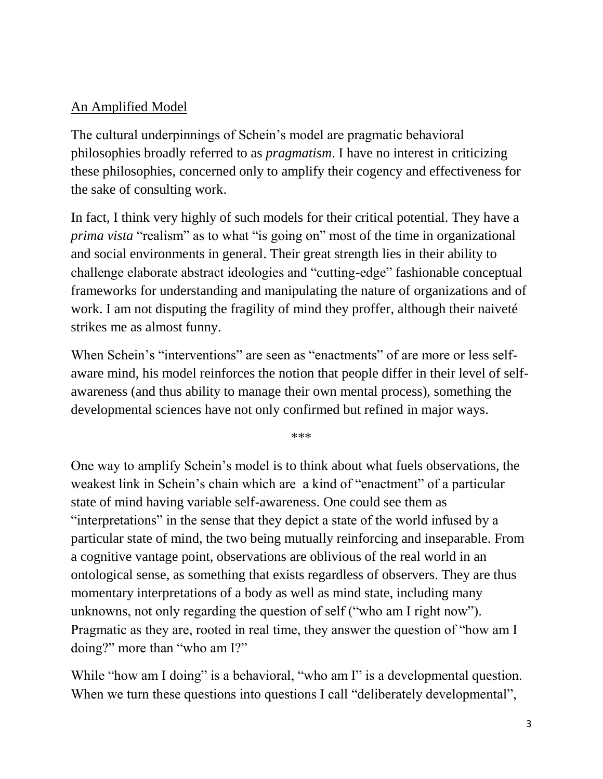### An Amplified Model

The cultural underpinnings of Schein's model are pragmatic behavioral philosophies broadly referred to as *pragmatism*. I have no interest in criticizing these philosophies, concerned only to amplify their cogency and effectiveness for the sake of consulting work.

In fact, I think very highly of such models for their critical potential. They have a *prima vista* "realism" as to what "is going on" most of the time in organizational and social environments in general. Their great strength lies in their ability to challenge elaborate abstract ideologies and "cutting-edge" fashionable conceptual frameworks for understanding and manipulating the nature of organizations and of work. I am not disputing the fragility of mind they proffer, although their naiveté strikes me as almost funny.

When Schein's "interventions" are seen as "enactments" of are more or less selfaware mind, his model reinforces the notion that people differ in their level of selfawareness (and thus ability to manage their own mental process), something the developmental sciences have not only confirmed but refined in major ways.

\*\*\*

One way to amplify Schein's model is to think about what fuels observations, the weakest link in Schein's chain which are a kind of "enactment" of a particular state of mind having variable self-awareness. One could see them as "interpretations" in the sense that they depict a state of the world infused by a particular state of mind, the two being mutually reinforcing and inseparable. From a cognitive vantage point, observations are oblivious of the real world in an ontological sense, as something that exists regardless of observers. They are thus momentary interpretations of a body as well as mind state, including many unknowns, not only regarding the question of self ("who am I right now"). Pragmatic as they are, rooted in real time, they answer the question of "how am I doing?" more than "who am I?"

While "how am I doing" is a behavioral, "who am I" is a developmental question. When we turn these questions into questions I call "deliberately developmental",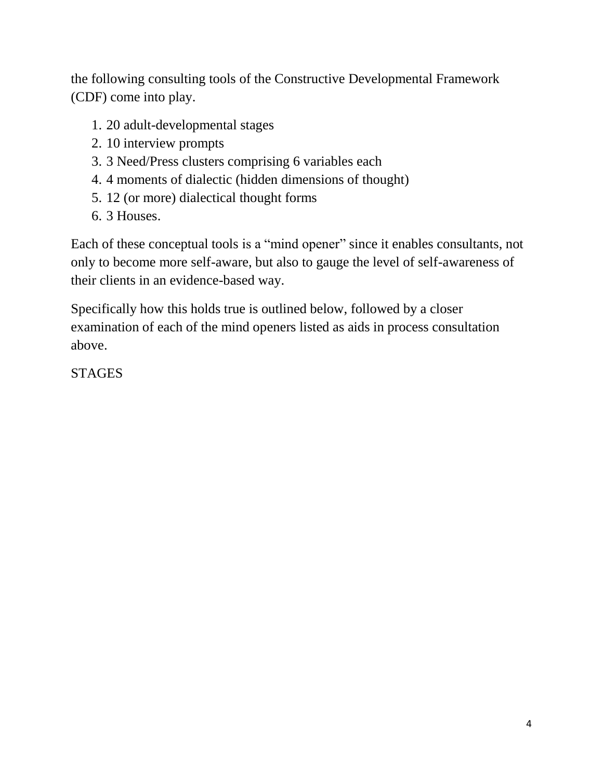the following consulting tools of the Constructive Developmental Framework (CDF) come into play.

- 1. 20 adult-developmental stages
- 2. 10 interview prompts
- 3. 3 Need/Press clusters comprising 6 variables each
- 4. 4 moments of dialectic (hidden dimensions of thought)
- 5. 12 (or more) dialectical thought forms
- 6. 3 Houses.

Each of these conceptual tools is a "mind opener" since it enables consultants, not only to become more self-aware, but also to gauge the level of self-awareness of their clients in an evidence-based way.

Specifically how this holds true is outlined below, followed by a closer examination of each of the mind openers listed as aids in process consultation above.

**STAGES**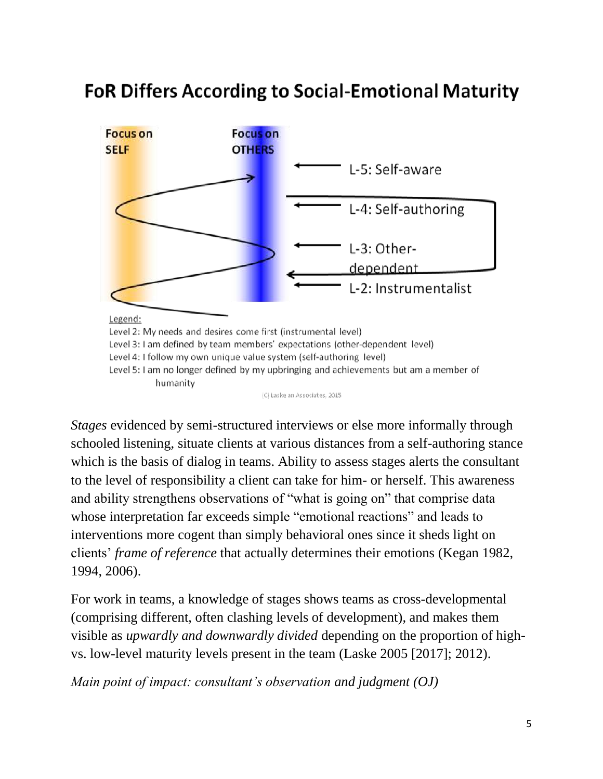# **FoR Differs According to Social-Emotional Maturity**



*Stages* evidenced by semi-structured interviews or else more informally through schooled listening, situate clients at various distances from a self-authoring stance which is the basis of dialog in teams. Ability to assess stages alerts the consultant to the level of responsibility a client can take for him- or herself. This awareness and ability strengthens observations of "what is going on" that comprise data whose interpretation far exceeds simple "emotional reactions" and leads to interventions more cogent than simply behavioral ones since it sheds light on clients' *frame of reference* that actually determines their emotions (Kegan 1982, 1994, 2006).

For work in teams, a knowledge of stages shows teams as cross-developmental (comprising different, often clashing levels of development), and makes them visible as *upwardly and downwardly divided* depending on the proportion of highvs. low-level maturity levels present in the team (Laske 2005 [2017]; 2012).

*Main point of impact: consultant's observation and judgment (OJ)*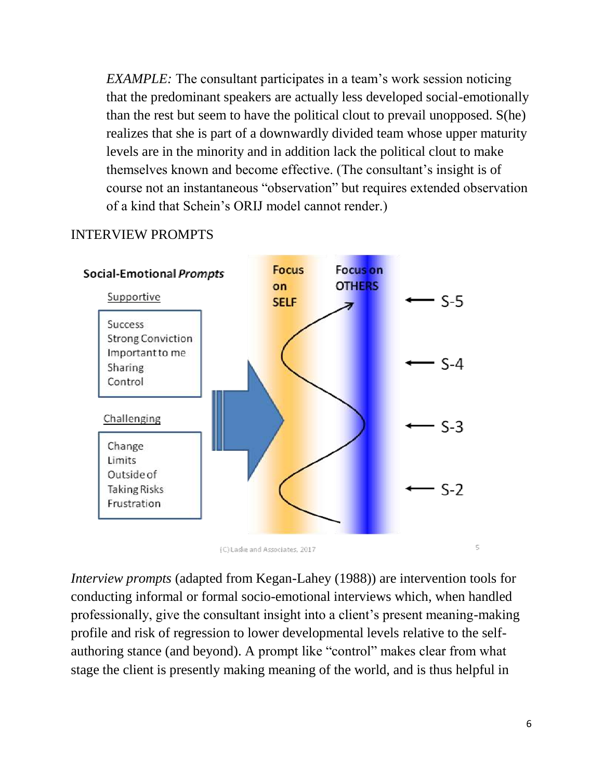*EXAMPLE:* The consultant participates in a team's work session noticing that the predominant speakers are actually less developed social-emotionally than the rest but seem to have the political clout to prevail unopposed. S(he) realizes that she is part of a downwardly divided team whose upper maturity levels are in the minority and in addition lack the political clout to make themselves known and become effective. (The consultant's insight is of course not an instantaneous "observation" but requires extended observation of a kind that Schein's ORIJ model cannot render.)



### INTERVIEW PROMPTS

*Interview prompts* (adapted from Kegan-Lahey (1988)) are intervention tools for conducting informal or formal socio-emotional interviews which, when handled professionally, give the consultant insight into a client's present meaning-making profile and risk of regression to lower developmental levels relative to the selfauthoring stance (and beyond). A prompt like "control" makes clear from what stage the client is presently making meaning of the world, and is thus helpful in

5

<sup>(</sup>C) Laske and Associates, 2017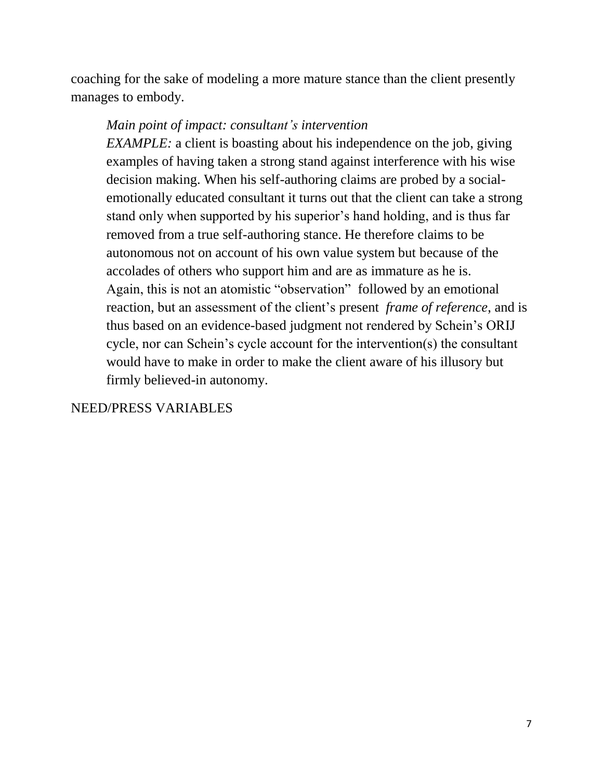coaching for the sake of modeling a more mature stance than the client presently manages to embody.

### *Main point of impact: consultant's intervention*

*EXAMPLE:* a client is boasting about his independence on the job, giving examples of having taken a strong stand against interference with his wise decision making. When his self-authoring claims are probed by a socialemotionally educated consultant it turns out that the client can take a strong stand only when supported by his superior's hand holding, and is thus far removed from a true self-authoring stance. He therefore claims to be autonomous not on account of his own value system but because of the accolades of others who support him and are as immature as he is. Again, this is not an atomistic "observation" followed by an emotional reaction, but an assessment of the client's present *frame of reference*, and is thus based on an evidence-based judgment not rendered by Schein's ORIJ cycle, nor can Schein's cycle account for the intervention(s) the consultant would have to make in order to make the client aware of his illusory but firmly believed-in autonomy.

#### NEED/PRESS VARIABLES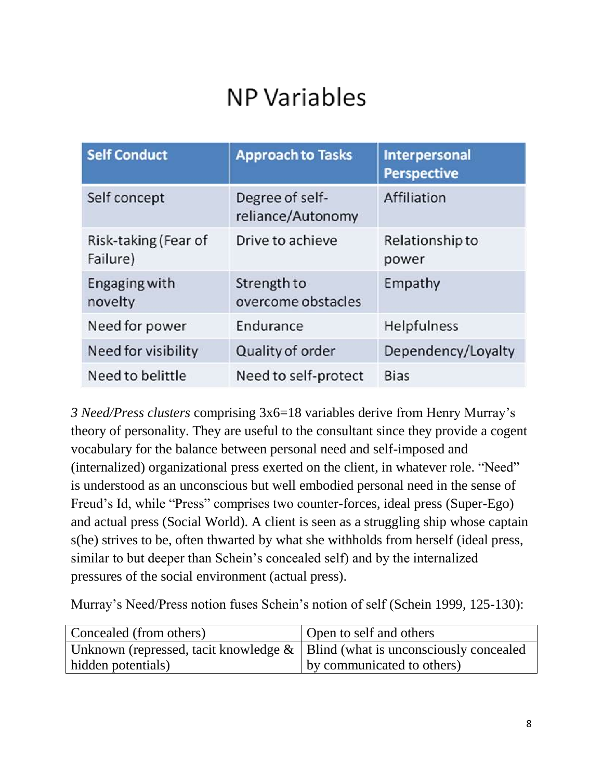# **NP Variables**

| <b>Self Conduct</b>              | <b>Approach to Tasks</b>             | <b>Interpersonal</b><br><b>Perspective</b> |
|----------------------------------|--------------------------------------|--------------------------------------------|
| Self concept                     | Degree of self-<br>reliance/Autonomy | Affiliation                                |
| Risk-taking (Fear of<br>Failure) | Drive to achieve                     | Relationship to<br>power                   |
| Engaging with<br>novelty         | Strength to<br>overcome obstacles    | Empathy                                    |
| Need for power                   | Endurance                            | Helpfulness                                |
| Need for visibility              | Quality of order                     | Dependency/Loyalty                         |
| Need to belittle                 | Need to self-protect                 | <b>Bias</b>                                |

*3 Need/Press clusters* comprising 3x6=18 variables derive from Henry Murray's theory of personality. They are useful to the consultant since they provide a cogent vocabulary for the balance between personal need and self-imposed and (internalized) organizational press exerted on the client, in whatever role. "Need" is understood as an unconscious but well embodied personal need in the sense of Freud's Id, while "Press" comprises two counter-forces, ideal press (Super-Ego) and actual press (Social World). A client is seen as a struggling ship whose captain s(he) strives to be, often thwarted by what she withholds from herself (ideal press, similar to but deeper than Schein's concealed self) and by the internalized pressures of the social environment (actual press).

Murray's Need/Press notion fuses Schein's notion of self (Schein 1999, 125-130):

| Concealed (from others)                                                           | Open to self and others    |
|-----------------------------------------------------------------------------------|----------------------------|
| Unknown (repressed, tacit knowledge $\&$   Blind (what is unconsciously concealed |                            |
| hidden potentials)                                                                | by communicated to others) |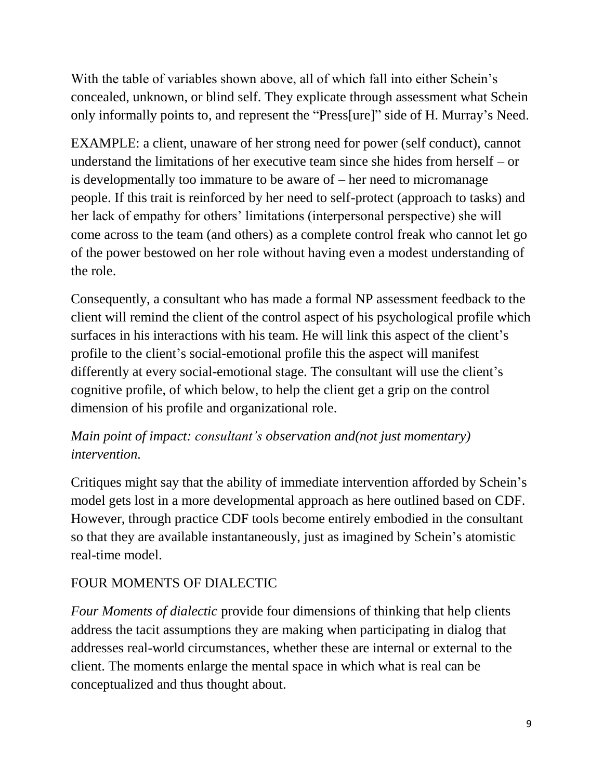With the table of variables shown above, all of which fall into either Schein's concealed, unknown, or blind self. They explicate through assessment what Schein only informally points to, and represent the "Press[ure]" side of H. Murray's Need.

EXAMPLE: a client, unaware of her strong need for power (self conduct), cannot understand the limitations of her executive team since she hides from herself – or is developmentally too immature to be aware of – her need to micromanage people. If this trait is reinforced by her need to self-protect (approach to tasks) and her lack of empathy for others' limitations (interpersonal perspective) she will come across to the team (and others) as a complete control freak who cannot let go of the power bestowed on her role without having even a modest understanding of the role.

Consequently, a consultant who has made a formal NP assessment feedback to the client will remind the client of the control aspect of his psychological profile which surfaces in his interactions with his team. He will link this aspect of the client's profile to the client's social-emotional profile this the aspect will manifest differently at every social-emotional stage. The consultant will use the client's cognitive profile, of which below, to help the client get a grip on the control dimension of his profile and organizational role.

## *Main point of impact: consultant's observation and(not just momentary) intervention.*

Critiques might say that the ability of immediate intervention afforded by Schein's model gets lost in a more developmental approach as here outlined based on CDF. However, through practice CDF tools become entirely embodied in the consultant so that they are available instantaneously, just as imagined by Schein's atomistic real-time model.

### FOUR MOMENTS OF DIALECTIC

*Four Moments of dialectic* provide four dimensions of thinking that help clients address the tacit assumptions they are making when participating in dialog that addresses real-world circumstances, whether these are internal or external to the client. The moments enlarge the mental space in which what is real can be conceptualized and thus thought about.